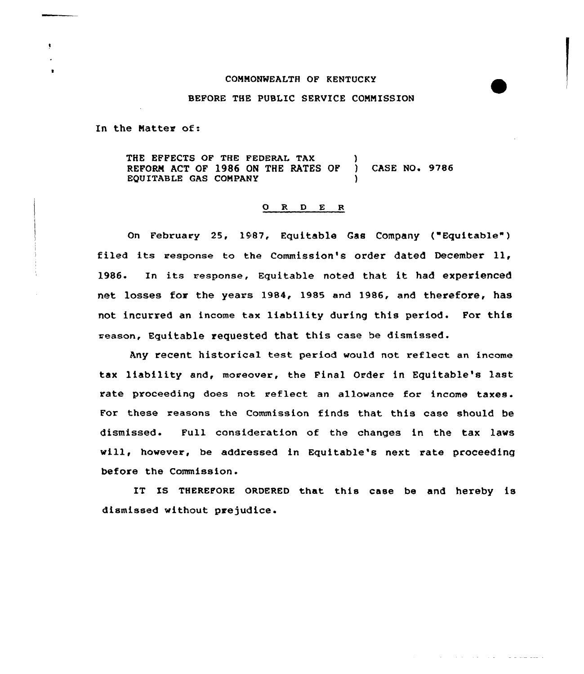## COMMONWEALTH OF KENTUCKY

## BEFORE THE PUBLIC SERVICE COMMISSION

In the Matter of:

THE EFFECTS OF THE FEDERAL TAX REFORM ACT OF 1986 ON THE RATES OP EQUITABLE GAS COMPANY ) ) CASE NO. 9786 )

## 0 R <sup>D</sup> E <sup>R</sup>

On February 25, 1987, Equitable Gas Company ("Equitable" ) filed its response to the Commission's order dated December ll, 1986. In its response, Equitable noted that it had experienced net losses for the years 1984, 1985 and 1986, and therefore, has not incurred an income tax liability during this period. Por this reason, Equitable requested that this case be dismissed.

Any recent historical test period would not reflect an income tax liability and, moreover, the Final Order in Equitable's last rate proceeding does not reflect an allowance for income taxes. For these reasons the Commission finds that this case should be dismissed. Pull consideration of the changes in the tax laws will, however, be addressed in Equitable's next rate proceeding before the Commission.

IT IS THEREFORE ORDERED that this case be and hereby is dismissed without prejudice.

and the state of the state and to